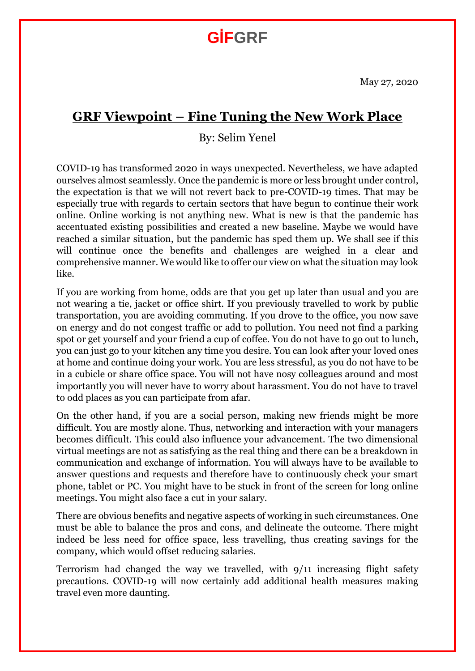## **GİFGRF**

May 27, 2020

## **GRF Viewpoint – Fine Tuning the New Work Place**

By: Selim Yenel

COVID-19 has transformed 2020 in ways unexpected. Nevertheless, we have adapted ourselves almost seamlessly. Once the pandemic is more or less brought under control, the expectation is that we will not revert back to pre-COVID-19 times. That may be especially true with regards to certain sectors that have begun to continue their work online. Online working is not anything new. What is new is that the pandemic has accentuated existing possibilities and created a new baseline. Maybe we would have reached a similar situation, but the pandemic has sped them up. We shall see if this will continue once the benefits and challenges are weighed in a clear and comprehensive manner. We would like to offer our view on what the situation may look like.

If you are working from home, odds are that you get up later than usual and you are not wearing a tie, jacket or office shirt. If you previously travelled to work by public transportation, you are avoiding commuting. If you drove to the office, you now save on energy and do not congest traffic or add to pollution. You need not find a parking spot or get yourself and your friend a cup of coffee. You do not have to go out to lunch, you can just go to your kitchen any time you desire. You can look after your loved ones at home and continue doing your work. You are less stressful, as you do not have to be in a cubicle or share office space. You will not have nosy colleagues around and most importantly you will never have to worry about harassment. You do not have to travel to odd places as you can participate from afar.

On the other hand, if you are a social person, making new friends might be more difficult. You are mostly alone. Thus, networking and interaction with your managers becomes difficult. This could also influence your advancement. The two dimensional virtual meetings are not as satisfying as the real thing and there can be a breakdown in communication and exchange of information. You will always have to be available to answer questions and requests and therefore have to continuously check your smart phone, tablet or PC. You might have to be stuck in front of the screen for long online meetings. You might also face a cut in your salary.

There are obvious benefits and negative aspects of working in such circumstances. One must be able to balance the pros and cons, and delineate the outcome. There might indeed be less need for office space, less travelling, thus creating savings for the company, which would offset reducing salaries.

Terrorism had changed the way we travelled, with 9/11 increasing flight safety precautions. COVID-19 will now certainly add additional health measures making travel even more daunting.